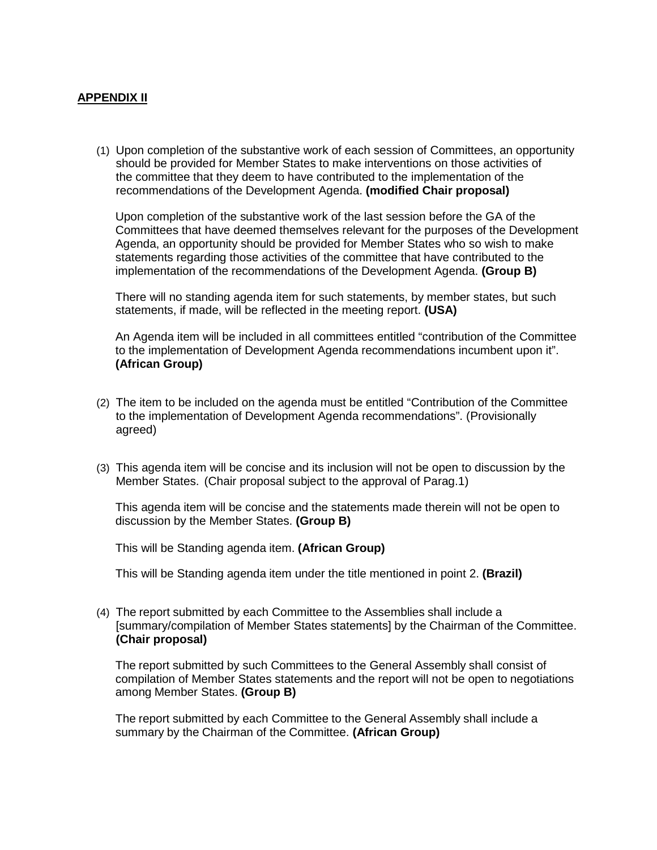## **APPENDIX II**

(1) Upon completion of the substantive work of each session of Committees, an opportunity should be provided for Member States to make interventions on those activities of the committee that they deem to have contributed to the implementation of the recommendations of the Development Agenda. **(modified Chair proposal)**

Upon completion of the substantive work of the last session before the GA of the Committees that have deemed themselves relevant for the purposes of the Development Agenda, an opportunity should be provided for Member States who so wish to make statements regarding those activities of the committee that have contributed to the implementation of the recommendations of the Development Agenda. **(Group B)**

There will no standing agenda item for such statements, by member states, but such statements, if made, will be reflected in the meeting report. **(USA)**

An Agenda item will be included in all committees entitled "contribution of the Committee to the implementation of Development Agenda recommendations incumbent upon it". **(African Group)**

- (2) The item to be included on the agenda must be entitled "Contribution of the Committee to the implementation of Development Agenda recommendations". (Provisionally agreed)
- (3) This agenda item will be concise and its inclusion will not be open to discussion by the Member States. (Chair proposal subject to the approval of Parag.1)

This agenda item will be concise and the statements made therein will not be open to discussion by the Member States. **(Group B)**

This will be Standing agenda item. **(African Group)**

This will be Standing agenda item under the title mentioned in point 2. **(Brazil)**

(4) The report submitted by each Committee to the Assemblies shall include a [summary/compilation of Member States statements] by the Chairman of the Committee. **(Chair proposal)**

The report submitted by such Committees to the General Assembly shall consist of compilation of Member States statements and the report will not be open to negotiations among Member States. **(Group B)**

The report submitted by each Committee to the General Assembly shall include a summary by the Chairman of the Committee. **(African Group)**